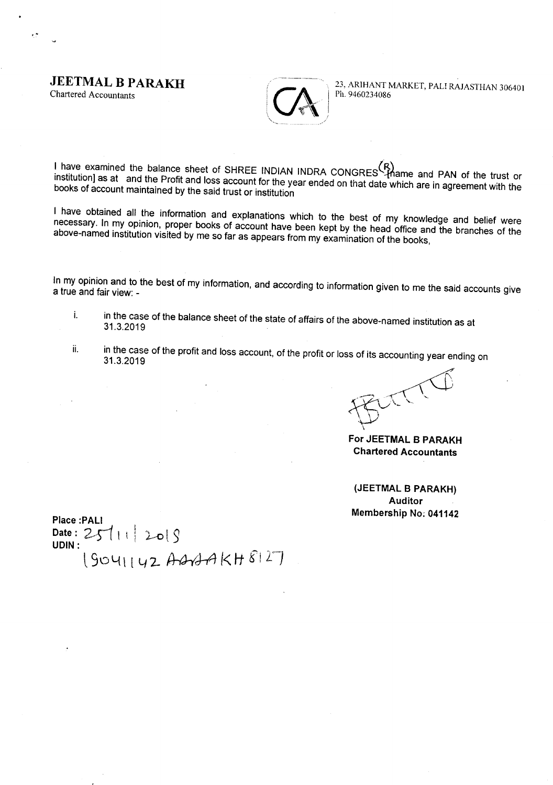**JEETMAL B PARAKH**

Chartered Accountants

,.



23, ARIHANT MARKET, PALI RAJASTHAN 306401 Ph. 9460234086

I have examined the balance sheet of SHREE INDIAN INDRA CONGRES  $\binom{R}{n}$  ame and PAN of the trust or institution]as at and the Profit and loss account for the year ended on that date which are in agreement with the books of account maintained by the said trust or institution

I have obtained all the information and explanations which to the best of my knowledge and belief were necessary. In my opinion, proper books of account have been kept by the head office and the branches of the above-namedinstitution visited by me so far as appears from my examination of the books,

In my opinion and to the best of my information, and according to information given to me the said accounts give a true and fair view: -

i. in the case of the balance sheet of the state of affairs of the above-named institution as at 31.3.2019

ii. in the case of the profit and loss account, of the profit or loss of its accounting year ending on 31.3.2019

TTT

**ForJEETMAL B PARAKH Chartered Accountants**

**(JEETMAL B PARAKH) Auditor Membership** No; **041142**

**Place :PALI** Date: 2511 | 2019 **UDIN:** 190L{ \ [ Lf 2 ~J-rA *i< <sup>H</sup>* fi *<sup>2</sup>'-J*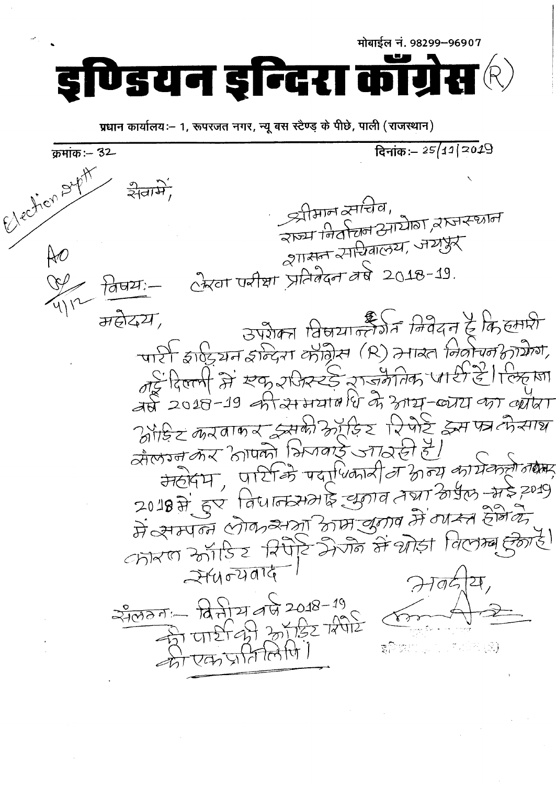मोबाईल नं. 98299–96907 ण्डयन डल्दिरा काँग्रेस प्रधान कार्यालयः- 1, रूपरजत नगर, न्यू बस स्टैण्ड के पीछे, पाली (राजस्थान) दिनांकः = 25/11/2019 क्रमांकः $-32$ Election sept श्रीमान स्मचिव, राज्य निर्वाचन आयोग, राजस्थान व्यासन समितालय, जयपुर ीरवा परीक्षा प्रतिवेदन वर्ष 2018-19. विषय:-उपशेकन विषयान्तेशेत निवेदन दे कि हमारी पारी इाएंट्रयन इन्दिरा कार्णिस (R) ते गारत निर्वाचन कार्यका र्क दिल्ली में स्कूरफिस्टर्ड राजनैतिक पार्टी है। लिहाना बीडिट करवाफर इसकी क्रॉडिश रिपोर्ट इस फ्र कैसान्न कैलंग्न कर लापको भिजवाई जारूसि है। में सम्पन्न लोक सभा माम बुगाव में नाम्त होने के कोरण कॉरिट रिपोर्ट मेर्गेने में योड़ा विलम्ब हकारी  $244002076$  $7106$ 270001 Adjudge 2018-19  $\frac{1}{27}$  une de vierte com  $\mathbf{g} \widehat{\mathbf{P}}(\mathbf{x}(\tau),\tau) = \tau \in \mathbb{R}^d \times \mathbb{R}^d$